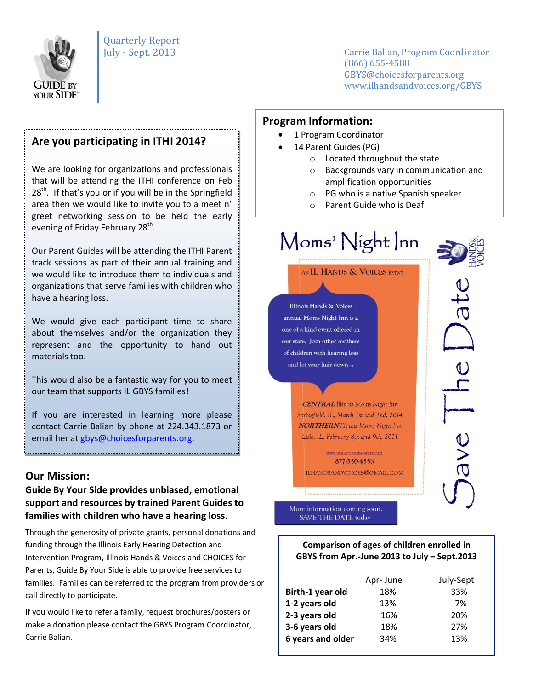

July - Sept. 2013 Carrie Balian, Program Coordinator (866) 655-4588 GBYS@choicesforparents.org www.ilhandsandvoices.org/GBYS

### **Are you participating in ITHI 2014?**

We are looking for organizations and professionals that will be attending the ITHI conference on Feb  $28<sup>th</sup>$ . If that's you or if you will be in the Springfield area then we would like to invite you to a meet n' greet networking session to be held the early evening of Friday February 28<sup>th</sup>.

Our Parent Guides will be attending the ITHI Parent track sessions as part of their annual training and we would like to introduce them to individuals and organizations that serve families with children who have a hearing loss.

We would give each participant time to share about themselves and/or the organization they represent and the opportunity to hand out materials too.

This would also be a fantastic way for you to meet our team that supports IL GBYS families!

If you are interested in learning more please contact Carrie Balian by phone at 224.343.1873 or email her a[t gbys@choicesforparents.org.](mailto:gbys@choicesforparents.org)

#### **Our Mission:**

#### **Guide By Your Side provides unbiased, emotional support and resources by trained Parent Guides to families with children who have a hearing loss.**

Through the generosity of private grants, personal donations and funding through the Illinois Early Hearing Detection and Intervention Program, Illinois Hands & Voices and CHOICES for Parents, Guide By Your Side is able to provide free services to families. Families can be referred to the program from providers or call directly to participate.

If you would like to refer a family, request brochures/posters or make a donation please contact the GBYS Program Coordinator, Carrie Balian.

#### **Program Information:**

- 1 Program Coordinator
- 14 Parent Guides (PG)
	- o Located throughout the state
	- o Backgrounds vary in communication and amplification opportunities
	- o PG who is a native Spanish speaker
	- o Parent Guide who is Deaf

# Moms' Night Inn

AN IL HANDS & VOICES EVENT

Illinois Hands & Voices annual Moms Night Inn is a one of a kind event offered in our state. Join other mothers of children with hearing loss and let your hair down...

> **CENTRAL** Illinois Moms Night Inn Springfield, IL, March 1st and 2nd, 2014 **NORTHERN** Illinois Moms Night Inn Lisle, IL, February 8th and 9th, 2014

**WWW ILHANDSANDVOICES ORG** 877-350-4556 ILHANDSANDVOICES@GMAIL.COM ave

More information coming soon. SAVE THE DATE today

**Comparison of ages of children enrolled in GBYS from Apr.-June 2013 to July – Sept.2013**

|                   | Apr-June | July-Sept |
|-------------------|----------|-----------|
| Birth-1 year old  | 18%      | 33%       |
| 1-2 years old     | 13%      | 7%        |
| 2-3 years old     | 16%      | 20%       |
| 3-6 years old     | 18%      | 27%       |
| 6 years and older | 34%      | 13%       |
|                   |          |           |